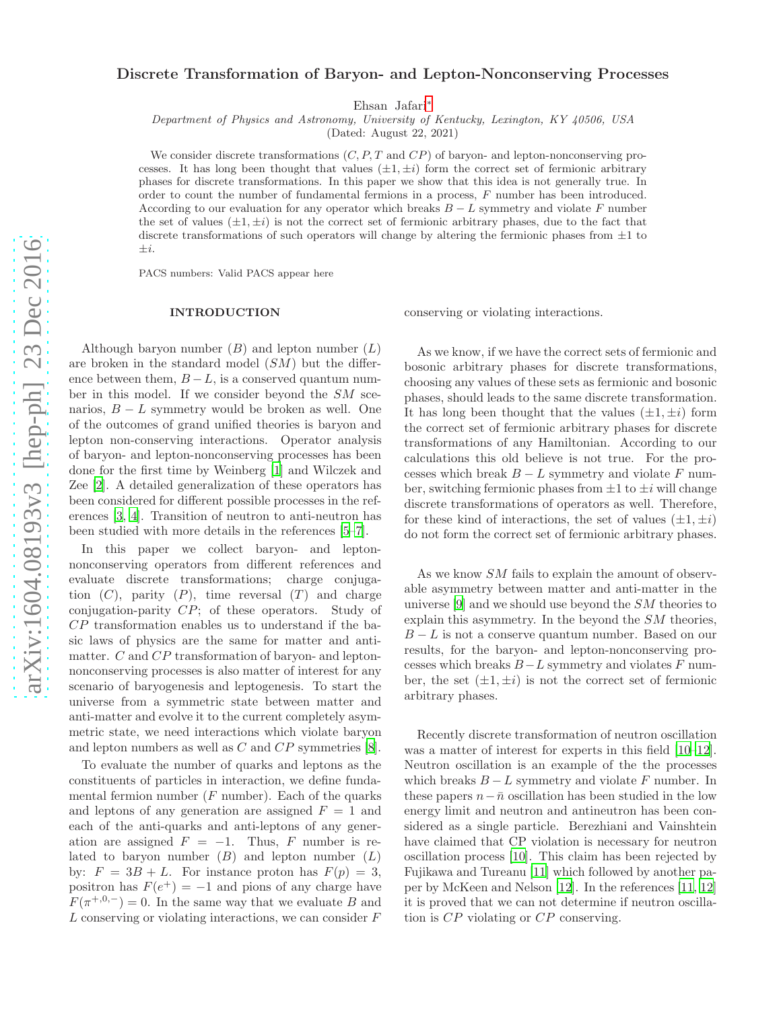# Discrete Transformation of Baryon- and Lepton-Nonconserving Processes

Ehsan Jafari[∗](#page-5-0)

Department of Physics and Astronomy, University of Kentucky, Lexington, KY 40506, USA

(Dated: August 22, 2021)

We consider discrete transformations  $(C, P, T \text{ and } CP)$  of baryon- and lepton-nonconserving processes. It has long been thought that values  $(\pm 1, \pm i)$  form the correct set of fermionic arbitrary phases for discrete transformations. In this paper we show that this idea is not generally true. In order to count the number of fundamental fermions in a process, F number has been introduced. According to our evaluation for any operator which breaks  $B - L$  symmetry and violate F number the set of values  $(\pm 1, \pm i)$  is not the correct set of fermionic arbitrary phases, due to the fact that discrete transformations of such operators will change by altering the fermionic phases from  $\pm 1$  to  $\pm i$ .

PACS numbers: Valid PACS appear here

### INTRODUCTION

Although baryon number  $(B)$  and lepton number  $(L)$ are broken in the standard model  $(SM)$  but the difference between them,  $B - L$ , is a conserved quantum number in this model. If we consider beyond the SM scenarios,  $B - L$  symmetry would be broken as well. One of the outcomes of grand unified theories is baryon and lepton non-conserving interactions. Operator analysis of baryon- and lepton-nonconserving processes has been done for the first time by Weinberg [\[1\]](#page-5-1) and Wilczek and Zee [\[2](#page-5-2)]. A detailed generalization of these operators has been considered for different possible processes in the references [\[3](#page-5-3), [4\]](#page-5-4). Transition of neutron to anti-neutron has been studied with more details in the references [\[5](#page-5-5)[–7\]](#page-5-6).

In this paper we collect baryon- and leptonnonconserving operators from different references and evaluate discrete transformations; charge conjugation  $(C)$ , parity  $(P)$ , time reversal  $(T)$  and charge conjugation-parity CP; of these operators. Study of CP transformation enables us to understand if the basic laws of physics are the same for matter and antimatter. C and CP transformation of baryon- and leptonnonconserving processes is also matter of interest for any scenario of baryogenesis and leptogenesis. To start the universe from a symmetric state between matter and anti-matter and evolve it to the current completely asymmetric state, we need interactions which violate baryon and lepton numbers as well as C and CP symmetries [\[8\]](#page-5-7).

To evaluate the number of quarks and leptons as the constituents of particles in interaction, we define fundamental fermion number  $(F$  number). Each of the quarks and leptons of any generation are assigned  $F = 1$  and each of the anti-quarks and anti-leptons of any generation are assigned  $F = -1$ . Thus, F number is related to baryon number  $(B)$  and lepton number  $(L)$ by:  $F = 3B + L$ . For instance proton has  $F(p) = 3$ , positron has  $F(e^+) = -1$  and pions of any charge have  $F(\pi^{+,0,-})=0$ . In the same way that we evaluate B and  $L$  conserving or violating interactions, we can consider  $F$ 

conserving or violating interactions.

As we know, if we have the correct sets of fermionic and bosonic arbitrary phases for discrete transformations, choosing any values of these sets as fermionic and bosonic phases, should leads to the same discrete transformation. It has long been thought that the values  $(\pm 1, \pm i)$  form the correct set of fermionic arbitrary phases for discrete transformations of any Hamiltonian. According to our calculations this old believe is not true. For the processes which break  $B - L$  symmetry and violate F number, switching fermionic phases from  $\pm 1$  to  $\pm i$  will change discrete transformations of operators as well. Therefore, for these kind of interactions, the set of values  $(\pm 1, \pm i)$ do not form the correct set of fermionic arbitrary phases.

As we know SM fails to explain the amount of observable asymmetry between matter and anti-matter in the universe  $[9]$  and we should use beyond the  $SM$  theories to explain this asymmetry. In the beyond the SM theories,  $B - L$  is not a conserve quantum number. Based on our results, for the baryon- and lepton-nonconserving processes which breaks  $B-L$  symmetry and violates  $F$  number, the set  $(\pm 1, \pm i)$  is not the correct set of fermionic arbitrary phases.

Recently discrete transformation of neutron oscillation was a matter of interest for experts in this field [\[10](#page-5-9)[–12\]](#page-6-0). Neutron oscillation is an example of the the processes which breaks  $B - L$  symmetry and violate F number. In these papers  $n-\bar{n}$  oscillation has been studied in the low energy limit and neutron and antineutron has been considered as a single particle. Berezhiani and Vainshtein have claimed that CP violation is necessary for neutron oscillation process [\[10\]](#page-5-9). This claim has been rejected by Fujikawa and Tureanu [\[11](#page-5-10)] which followed by another paper by McKeen and Nelson [\[12](#page-6-0)]. In the references [\[11,](#page-5-10) [12](#page-6-0)] it is proved that we can not determine if neutron oscillation is CP violating or CP conserving.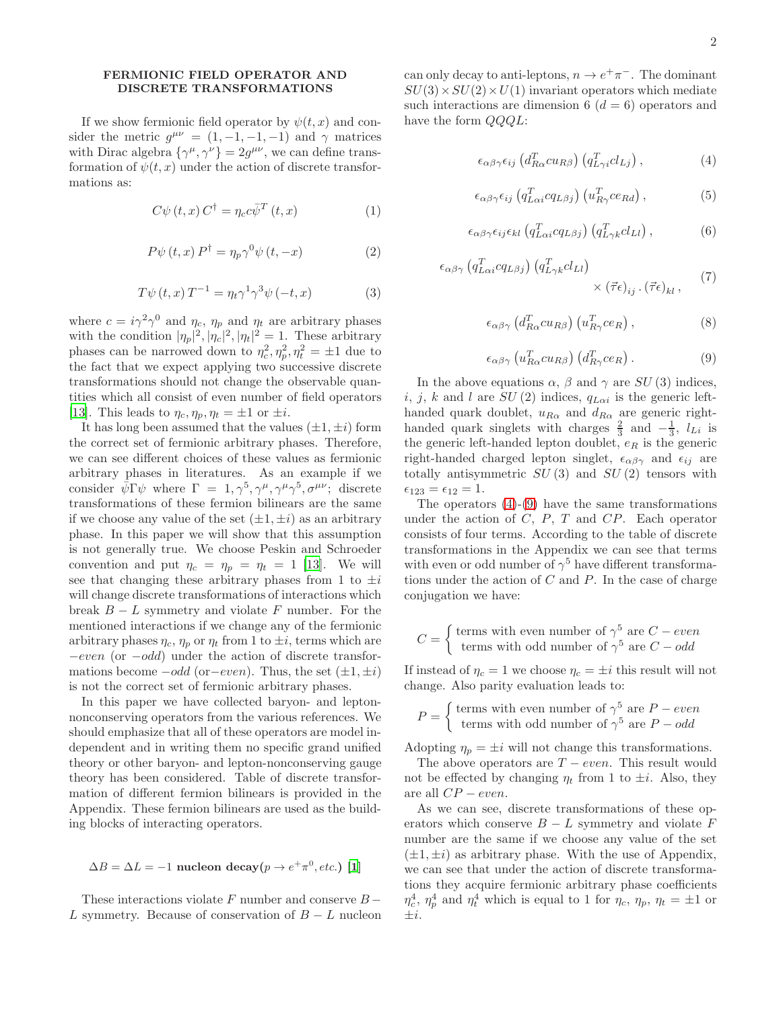## FERMIONIC FIELD OPERATOR AND DISCRETE TRANSFORMATIONS

If we show fermionic field operator by  $\psi(t, x)$  and consider the metric  $g^{\mu\nu} = (1, -1, -1, -1)$  and  $\gamma$  matrices with Dirac algebra  $\{\gamma^{\mu}, \gamma^{\nu}\} = 2g^{\mu\nu}$ , we can define transformation of  $\psi(t, x)$  under the action of discrete transformations as:

$$
C\psi(t,x) C^{\dagger} = \eta_c c \bar{\psi}^T(t,x)
$$
 (1)

$$
P\psi(t,x) P^{\dagger} = \eta_p \gamma^0 \psi(t,-x)
$$
 (2)

$$
T\psi(t,x)T^{-1} = \eta_t \gamma^1 \gamma^3 \psi(-t,x)
$$
 (3)

where  $c = i\gamma^2 \gamma^0$  and  $\eta_c$ ,  $\eta_p$  and  $\eta_t$  are arbitrary phases with the condition  $|\eta_p|^2$ ,  $|\eta_c|^2$ ,  $|\eta_t|^2 = 1$ . These arbitrary phases can be narrowed down to  $\eta_c^2, \eta_p^2, \eta_t^2 = \pm 1$  due to the fact that we expect applying two successive discrete transformations should not change the observable quantities which all consist of even number of field operators [\[13\]](#page-6-1). This leads to  $\eta_c, \eta_p, \eta_t = \pm 1$  or  $\pm i$ .

It has long been assumed that the values  $(\pm 1, \pm i)$  form the correct set of fermionic arbitrary phases. Therefore, we can see different choices of these values as fermionic arbitrary phases in literatures. As an example if we consider  $\bar{\psi} \Gamma \psi$  where  $\Gamma = 1, \gamma^5, \gamma^{\mu}, \gamma^{\mu} \gamma^5, \sigma^{\mu \nu}$ ; discrete transformations of these fermion bilinears are the same if we choose any value of the set  $(\pm 1, \pm i)$  as an arbitrary phase. In this paper we will show that this assumption is not generally true. We choose Peskin and Schroeder convention and put  $\eta_c = \eta_p = \eta_t = 1$  [\[13\]](#page-6-1). We will see that changing these arbitrary phases from 1 to  $\pm i$ will change discrete transformations of interactions which break  $B - L$  symmetry and violate F number. For the mentioned interactions if we change any of the fermionic arbitrary phases  $\eta_c$ ,  $\eta_p$  or  $\eta_t$  from 1 to  $\pm i$ , terms which are −even (or −odd) under the action of discrete transformations become  $-odd$  (or $-even$ ). Thus, the set  $(\pm 1, \pm i)$ is not the correct set of fermionic arbitrary phases.

In this paper we have collected baryon- and leptonnonconserving operators from the various references. We should emphasize that all of these operators are model independent and in writing them no specific grand unified theory or other baryon- and lepton-nonconserving gauge theory has been considered. Table of discrete transformation of different fermion bilinears is provided in the Appendix. These fermion bilinears are used as the building blocks of interacting operators.

# $\Delta B = \Delta L = -1$  nucleon decay $(p \rightarrow e^+ \pi^0, etc.)$  [\[1\]](#page-5-1)

These interactions violate  $F$  number and conserve  $B -$ L symmetry. Because of conservation of  $B - L$  nucleon

can only decay to anti-leptons,  $n \to e^+ \pi^-$ . The dominant  $SU(3) \times SU(2) \times U(1)$  invariant operators which mediate such interactions are dimension 6  $(d = 6)$  operators and have the form  $QQQL$ :

<span id="page-1-0"></span>
$$
\epsilon_{\alpha\beta\gamma}\epsilon_{ij}\left(d_{R\alpha}^T c u_{R\beta}\right)\left(q_{L\gamma i}^T c l_{Lj}\right),\tag{4}
$$

$$
\epsilon_{\alpha\beta\gamma}\epsilon_{ij}\left(q_{L\alpha i}^{T}cq_{L\beta j}\right)\left(u_{R\gamma}^{T}ce_{Rd}\right),\tag{5}
$$

$$
\epsilon_{\alpha\beta\gamma}\epsilon_{ij}\epsilon_{kl}\left(q_{L\alpha i}^T c q_{L\beta j}\right)\left(q_{L\gamma k}^T c l_{Ll}\right),\tag{6}
$$

$$
\epsilon_{\alpha\beta\gamma} \left( q_{L\alpha i}^T c q_{L\beta j} \right) \left( q_{L\gamma k}^T c l_{Ll} \right) \times \left( \vec{\tau} \epsilon \right)_{ij} \cdot \left( \vec{\tau} \epsilon \right)_{kl}, \tag{7}
$$

$$
\epsilon_{\alpha\beta\gamma} \left( d_{R\alpha}^T c u_{R\beta} \right) \left( u_{R\gamma}^T c e_R \right), \tag{8}
$$

<span id="page-1-1"></span>
$$
\epsilon_{\alpha\beta\gamma} \left( u_{R\alpha}^T c u_{R\beta} \right) \left( d_{R\gamma}^T c e_R \right). \tag{9}
$$

In the above equations  $\alpha$ ,  $\beta$  and  $\gamma$  are SU (3) indices, i, j, k and l are  $SU(2)$  indices,  $q_{L\alpha i}$  is the generic lefthanded quark doublet,  $u_{R\alpha}$  and  $d_{R\alpha}$  are generic righthanded quark singlets with charges  $\frac{2}{3}$  and  $-\frac{1}{3}$ ,  $l_{Li}$  is the generic left-handed lepton doublet,  $e_R$  is the generic right-handed charged lepton singlet,  $\epsilon_{\alpha\beta\gamma}$  and  $\epsilon_{ij}$  are totally antisymmetric  $SU(3)$  and  $SU(2)$  tensors with  $\epsilon_{123}=\epsilon_{12}=1.$ 

The operators  $(4)-(9)$  $(4)-(9)$  have the same transformations under the action of  $C, P, T$  and  $CP$ . Each operator consists of four terms. According to the table of discrete transformations in the Appendix we can see that terms with even or odd number of  $\gamma^5$  have different transformations under the action of  $C$  and  $P$ . In the case of charge conjugation we have:

$$
C = \begin{cases} \text{terms with even number of } \gamma^5 \text{ are } C - even \\ \text{terms with odd number of } \gamma^5 \text{ are } C - odd \end{cases}
$$

If instead of  $\eta_c = 1$  we choose  $\eta_c = \pm i$  this result will not change. Also parity evaluation leads to:

$$
P = \begin{cases} \text{terms with even number of } \gamma^5 \text{ are } P - even \\ \text{terms with odd number of } \gamma^5 \text{ are } P - odd \end{cases}
$$

Adopting  $\eta_p = \pm i$  will not change this transformations.

The above operators are  $T - even$ . This result would not be effected by changing  $\eta_t$  from 1 to  $\pm i$ . Also, they are all  $CP - even$ .

As we can see, discrete transformations of these operators which conserve  $B - L$  symmetry and violate F number are the same if we choose any value of the set  $(\pm 1, \pm i)$  as arbitrary phase. With the use of Appendix, we can see that under the action of discrete transformations they acquire fermionic arbitrary phase coefficients  $\eta_c^4$ ,  $\eta_p^4$  and  $\eta_t^4$  which is equal to 1 for  $\eta_c$ ,  $\eta_p$ ,  $\eta_t = \pm 1$  or  $\pm i$ .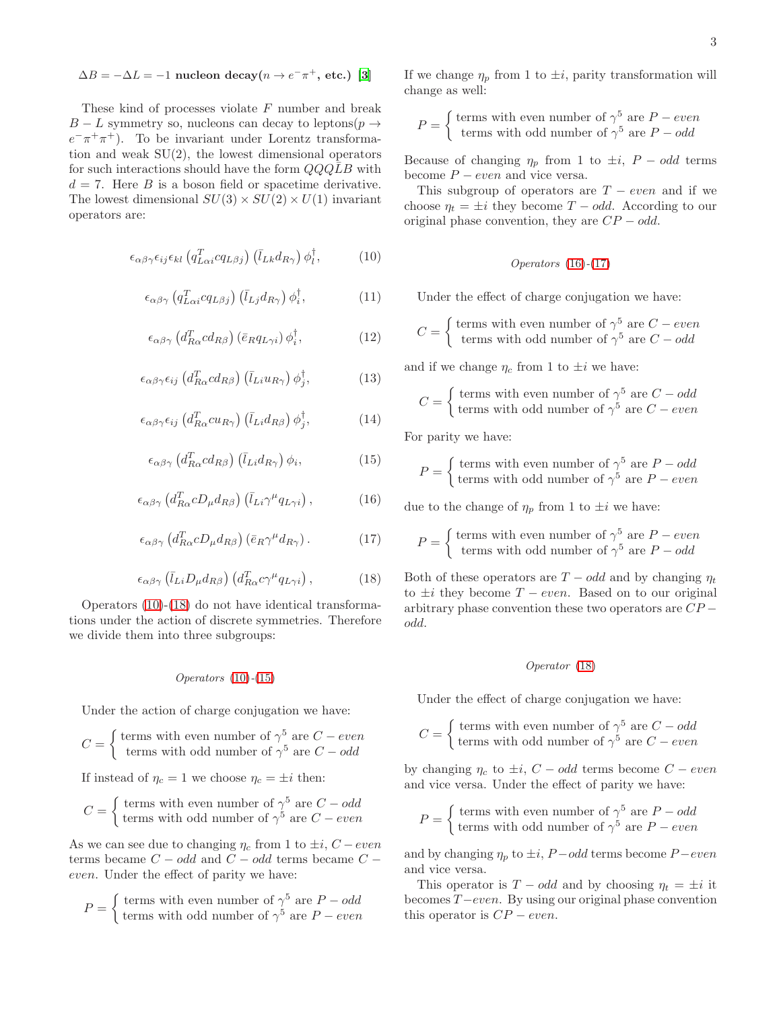# $\Delta B = -\Delta L = -1$  nucleon decay( $n \to e^- \pi^+$ , etc.) [\[3\]](#page-5-3)

These kind of processes violate  $F$  number and break  $B - L$  symmetry so, nucleons can decay to leptons( $p \rightarrow$  $e^{-}\pi^{+}\pi^{+}$ ). To be invariant under Lorentz transformation and weak  $SU(2)$ , the lowest dimensional operators for such interactions should have the form  $QQ\overline{Q}B$  with  $d = 7$ . Here B is a boson field or spacetime derivative. The lowest dimensional  $SU(3) \times SU(2) \times U(1)$  invariant operators are:

<span id="page-2-0"></span>
$$
\epsilon_{\alpha\beta\gamma}\epsilon_{ij}\epsilon_{kl}\left(q_{L\alpha i}^{T}cq_{L\beta j}\right)\left(\bar{l}_{Lk}d_{R\gamma}\right)\phi_{l}^{\dagger},\qquad(10)
$$

$$
\epsilon_{\alpha\beta\gamma} \left( q_{L\alpha i}^T c q_{L\beta j} \right) \left( \bar{l}_{Lj} d_{R\gamma} \right) \phi_i^{\dagger}, \tag{11}
$$

$$
\epsilon_{\alpha\beta\gamma} \left( d_{R\alpha}^T c d_{R\beta} \right) \left( \bar{e}_R q_{L\gamma i} \right) \phi_i^{\dagger}, \tag{12}
$$

$$
\epsilon_{\alpha\beta\gamma}\epsilon_{ij} \left( d_{R\alpha}^T c d_{R\beta} \right) \left( \bar{l}_{Li} u_{R\gamma} \right) \phi_j^{\dagger}, \tag{13}
$$

$$
\epsilon_{\alpha\beta\gamma}\epsilon_{ij} \left( d_{R\alpha}^T c u_{R\gamma} \right) \left( \bar{l}_{Li} d_{R\beta} \right) \phi_j^{\dagger}, \tag{14}
$$

<span id="page-2-2"></span>
$$
\epsilon_{\alpha\beta\gamma} \left( d_{R\alpha}^T c d_{R\beta} \right) \left( \bar{l}_{Li} d_{R\gamma} \right) \phi_i, \tag{15}
$$

<span id="page-2-3"></span>
$$
\epsilon_{\alpha\beta\gamma} \left( d_{R\alpha}^T c D_{\mu} d_{R\beta} \right) \left( \bar{l}_{Li} \gamma^{\mu} q_{L\gamma i} \right), \tag{16}
$$

<span id="page-2-4"></span>
$$
\epsilon_{\alpha\beta\gamma} \left( d_{R\alpha}^T c D_{\mu} d_{R\beta} \right) \left( \bar{e}_R \gamma^{\mu} d_{R\gamma} \right). \tag{17}
$$

<span id="page-2-1"></span>
$$
\epsilon_{\alpha\beta\gamma} \left( \bar{l}_{Li} D_{\mu} d_{R\beta} \right) \left( d_{R\alpha}^T c \gamma^{\mu} q_{L\gamma i} \right), \tag{18}
$$

Operators [\(10\)](#page-2-0)-[\(18\)](#page-2-1) do not have identical transformations under the action of discrete symmetries. Therefore we divide them into three subgroups:

### $Operations (10)-(15)$  $Operations (10)-(15)$  $Operations (10)-(15)$  $Operations (10)-(15)$

Under the action of charge conjugation we have:

$$
C = \begin{cases} \text{terms with even number of } \gamma^5 \text{ are } C - even \\ \text{terms with odd number of } \gamma^5 \text{ are } C - odd \end{cases}
$$

If instead of  $\eta_c = 1$  we choose  $\eta_c = \pm i$  then:

$$
C = \begin{cases} \text{terms with even number of } \gamma^5 \text{ are } C - odd \\ \text{terms with odd number of } \gamma^5 \text{ are } C - even \end{cases}
$$

As we can see due to changing  $\eta_c$  from 1 to  $\pm i$ ,  $C - even$ terms became  $C - odd$  and  $C - odd$  terms became  $C$ even. Under the effect of parity we have:

$$
P = \begin{cases} \text{terms with even number of } \gamma^5 \text{ are } P - odd \\ \text{terms with odd number of } \gamma^5 \text{ are } P - even \end{cases}
$$

If we change  $\eta_p$  from 1 to  $\pm i$ , parity transformation will change as well:

$$
P = \begin{cases} \text{terms with even number of } \gamma^5 \text{ are } P - even \\ \text{terms with odd number of } \gamma^5 \text{ are } P - odd \end{cases}
$$

Because of changing  $\eta_p$  from 1 to  $\pm i$ ,  $P - odd$  terms become  $P - even$  and vice versa.

This subgroup of operators are  $T - even$  and if we choose  $\eta_t = \pm i$  they become  $T - odd$ . According to our original phase convention, they are  $CP - odd$ .

$$
Operations (16)-(17)
$$

Under the effect of charge conjugation we have:

 $C = \begin{cases}$  terms with even number of  $\gamma^5$  are  $C - even$ terms with odd number of  $\gamma^5$  are  $C - odd$ 

and if we change  $\eta_c$  from 1 to  $\pm i$  we have:

$$
C = \begin{cases} \text{terms with even number of } \gamma^5 \text{ are } C - odd \\ \text{terms with odd number of } \gamma^5 \text{ are } C - even \end{cases}
$$

For parity we have:

$$
P = \begin{cases} \text{terms with even number of } \gamma^5 \text{ are } P - odd \\ \text{terms with odd number of } \gamma^5 \text{ are } P - even \end{cases}
$$

due to the change of  $\eta_p$  from 1 to  $\pm i$  we have:

$$
P = \begin{cases} \text{terms with even number of } \gamma^5 \text{ are } P - even \\ \text{terms with odd number of } \gamma^5 \text{ are } P - odd \end{cases}
$$

Both of these operators are  $T - odd$  and by changing  $\eta_t$ to  $\pm i$  they become  $T$  – even. Based on to our original arbitrary phase convention these two operators are  $CP$ odd.

## Operator [\(18\)](#page-2-1)

Under the effect of charge conjugation we have:

$$
C = \begin{cases} \text{terms with even number of } \gamma^5 \text{ are } C - odd \\ \text{terms with odd number of } \gamma^5 \text{ are } C - even \end{cases}
$$

by changing  $\eta_c$  to  $\pm i$ ,  $C - odd$  terms become  $C - even$ and vice versa. Under the effect of parity we have:

$$
P = \begin{cases} \text{terms with even number of } \gamma^5 \text{ are } P - odd \\ \text{terms with odd number of } \gamma^5 \text{ are } P - even \end{cases}
$$

and by changing  $\eta_p$  to  $\pm i$ , *P* − *odd* terms become *P* − *even* and vice versa.

This operator is  $T - odd$  and by choosing  $\eta_t = \pm i$  it becomes T−even. By using our original phase convention this operator is  $CP - even$ .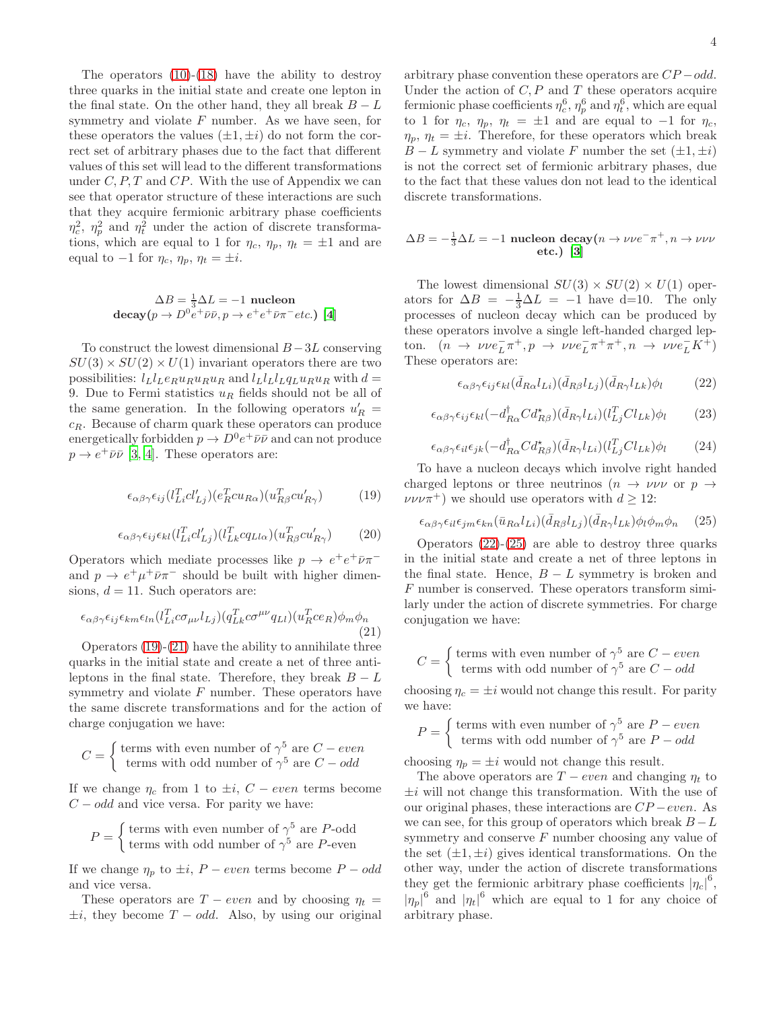The operators  $(10)-(18)$  $(10)-(18)$  have the ability to destroy three quarks in the initial state and create one lepton in the final state. On the other hand, they all break  $B - L$ symmetry and violate  $F$  number. As we have seen, for these operators the values  $(\pm 1, \pm i)$  do not form the correct set of arbitrary phases due to the fact that different values of this set will lead to the different transformations under  $C, P, T$  and  $CP$ . With the use of Appendix we can see that operator structure of these interactions are such that they acquire fermionic arbitrary phase coefficients  $\eta_c^2$ ,  $\eta_p^2$  and  $\eta_t^2$  under the action of discrete transformations, which are equal to 1 for  $\eta_c$ ,  $\eta_p$ ,  $\eta_t = \pm 1$  and are equal to  $-1$  for  $\eta_c$ ,  $\eta_p$ ,  $\eta_t = \pm i$ .

$$
\Delta B = \frac{1}{3}\Delta L = -1
$$
 nucleon  
decay( $p \to D^0 e^+ \bar{\nu} \bar{\nu}, p \to e^+ e^+ \bar{\nu} \pi^- etc.$ ) [4]

To construct the lowest dimensional  $B-3L$  conserving  $SU(3) \times SU(2) \times U(1)$  invariant operators there are two possibilities:  $l_L l_L e_R u_R u_R u_R$  and  $l_L l_L l_L q_L u_R u_R$  with  $d =$ 9. Due to Fermi statistics  $u_R$  fields should not be all of the same generation. In the following operators  $u'_R =$  $c_R$ . Because of charm quark these operators can produce energetically forbidden  $p \to D^0 e^+ \bar{\nu} \bar{\nu}$  and can not produce  $p \to e^+ \bar{\nu} \bar{\nu}$  [\[3,](#page-5-3) [4](#page-5-4)]. These operators are:

<span id="page-3-0"></span>
$$
\epsilon_{\alpha\beta\gamma}\epsilon_{ij}(l_{Li}^Tcl'_{Lj})(e_R^Tcu_{R\alpha})(u_{R\beta}^Tcu'_{R\gamma})\tag{19}
$$

$$
\epsilon_{\alpha\beta\gamma}\epsilon_{ij}\epsilon_{kl}(l_{Li}^Tcl_{Lj}')(l_{Lk}^Tcq_{Ll\alpha})(u_{R\beta}^Tcu_{R\gamma}')(20)
$$

Operators which mediate processes like  $p \to e^+e^+\bar{\nu}\pi^$ and  $p \to e^+ \mu^+ \bar{\nu} \pi^-$  should be built with higher dimensions,  $d = 11$ . Such operators are:

<span id="page-3-1"></span>
$$
\epsilon_{\alpha\beta\gamma}\epsilon_{ij}\epsilon_{km}\epsilon_{ln}(l_{Li}^T c\sigma_{\mu\nu}l_{Lj})(q_{Lk}^T c\sigma^{\mu\nu}q_{Ll})(u_R^T c\epsilon_R)\phi_m\phi_n
$$
\n(21)

Operators [\(19\)](#page-3-0)-[\(21\)](#page-3-1) have the ability to annihilate three quarks in the initial state and create a net of three antileptons in the final state. Therefore, they break  $B - L$ symmetry and violate  $F$  number. These operators have the same discrete transformations and for the action of charge conjugation we have:

$$
C = \begin{cases} \text{terms with even number of } \gamma^5 \text{ are } C - even \\ \text{terms with odd number of } \gamma^5 \text{ are } C - odd \end{cases}
$$

If we change  $\eta_c$  from 1 to  $\pm i$ ,  $C - even$  terms become  $C - odd$  and vice versa. For parity we have:

$$
P = \begin{cases} \text{terms with even number of } \gamma^5 \text{ are } P\text{-odd} \\ \text{terms with odd number of } \gamma^5 \text{ are } P\text{-even} \end{cases}
$$

If we change  $\eta_p$  to  $\pm i$ ,  $P - even$  terms become  $P - odd$ and vice versa.

These operators are  $T - even$  and by choosing  $\eta_t =$  $\pm i$ , they become  $T - odd$ . Also, by using our original arbitrary phase convention these operators are  $CP - odd$ . Under the action of  $C, P$  and  $T$  these operators acquire fermionic phase coefficients  $\eta_c^6$ ,  $\eta_p^6$  and  $\eta_t^6$ , which are equal to 1 for  $\eta_c$ ,  $\eta_p$ ,  $\eta_t = \pm 1$  and are equal to -1 for  $\eta_c$ ,  $\eta_p, \eta_t = \pm i$ . Therefore, for these operators which break  $B - L$  symmetry and violate F number the set  $(\pm 1, \pm i)$ is not the correct set of fermionic arbitrary phases, due to the fact that these values don not lead to the identical discrete transformations.

$$
\Delta B = -\frac{1}{3}\Delta L = -1
$$
 nucleon decay $(n \to \nu \nu e^- \pi^+, n \to \nu \nu \nu$   
etc.) [3]

The lowest dimensional  $SU(3) \times SU(2) \times U(1)$  operators for  $\Delta B = -\frac{1}{3}\Delta L = -1$  have d=10. The only processes of nucleon decay which can be produced by these operators involve a single left-handed charged lepton.  $(n \to \nu \nu e_L^-\pi^+, p \to \nu \nu e_L^-\pi^+\pi^+, n \to \nu \nu e_L^-\overline{K}^+)$ These operators are:

<span id="page-3-2"></span>
$$
\epsilon_{\alpha\beta\gamma}\epsilon_{ij}\epsilon_{kl}(\bar{d}_{R\alpha}l_{Li})(\bar{d}_{R\beta}l_{Lj})(\bar{d}_{R\gamma}l_{Lk})\phi_l \qquad (22)
$$

$$
\epsilon_{\alpha\beta\gamma}\epsilon_{ij}\epsilon_{kl}(-d_{R\alpha}^{\dagger}Cd_{R\beta}^{\star})(\bar{d}_{R\gamma}l_{Li})(l_{Lj}^{T}Cl_{Lk})\phi_{l}
$$
 (23)

$$
\epsilon_{\alpha\beta\gamma}\epsilon_{il}\epsilon_{jk}(-d_{R\alpha}^{\dagger}Cd_{R\beta}^{\dagger})(\bar{d}_{R\gamma}l_{Li})(l_{Lj}^{T}Cl_{Lk})\phi_{l}
$$
 (24)

To have a nucleon decays which involve right handed charged leptons or three neutrinos  $(n \to \nu \nu \nu \text{ or } p \to$  $\nu\nu\nu\pi^+$ ) we should use operators with  $d \geq 12$ :

<span id="page-3-3"></span>
$$
\epsilon_{\alpha\beta\gamma}\epsilon_{il}\epsilon_{jm}\epsilon_{kn}(\bar{u}_{R\alpha}l_{Li})(\bar{d}_{R\beta}l_{Lj})(\bar{d}_{R\gamma}l_{Lk})\phi_l\phi_m\phi_n \quad (25)
$$

Operators  $(22)-(25)$  $(22)-(25)$  are able to destroy three quarks in the initial state and create a net of three leptons in the final state. Hence,  $B - L$  symmetry is broken and F number is conserved. These operators transform similarly under the action of discrete symmetries. For charge conjugation we have:

$$
C = \begin{cases} \text{terms with even number of } \gamma^5 \text{ are } C - even \\ \text{terms with odd number of } \gamma^5 \text{ are } C - odd \end{cases}
$$

choosing  $\eta_c = \pm i$  would not change this result. For parity we have:

$$
P = \begin{cases} \text{terms with even number of } \gamma^5 \text{ are } P - even \\ \text{terms with odd number of } \gamma^5 \text{ are } P - odd \end{cases}
$$

choosing  $\eta_p = \pm i$  would not change this result.

The above operators are  $T - even$  and changing  $\eta_t$  to  $\pm i$  will not change this transformation. With the use of our original phases, these interactions are  $CP$  –even. As we can see, for this group of operators which break  $B - L$ symmetry and conserve F number choosing any value of the set  $(\pm 1, \pm i)$  gives identical transformations. On the other way, under the action of discrete transformations they get the fermionic arbitrary phase coefficients  $|\eta_c|^6$ ,  $|\eta_p|^6$  and  $|\eta_t|^6$  which are equal to 1 for any choice of arbitrary phase.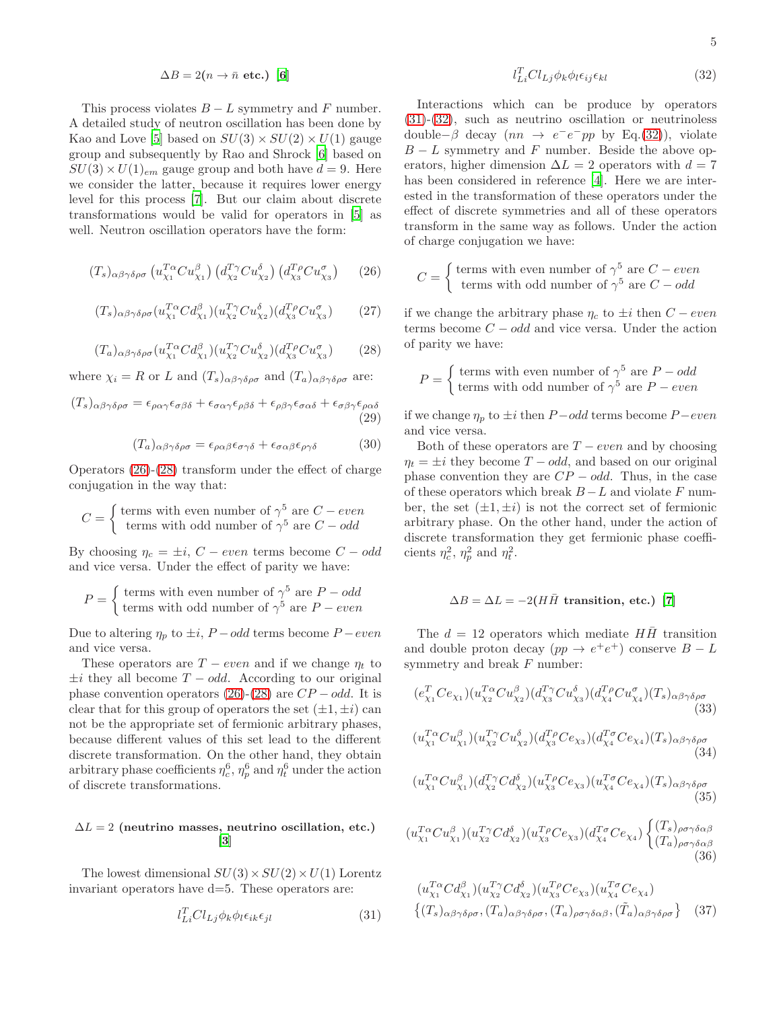$$
\Delta B = 2(n \to \bar{n} \text{ etc.}) \text{ [6]}
$$

This process violates  $B - L$  symmetry and F number. A detailed study of neutron oscillation has been done by Kao and Love [\[5](#page-5-5)] based on  $SU(3) \times SU(2) \times U(1)$  gauge group and subsequently by Rao and Shrock [\[6\]](#page-5-11) based on  $SU(3) \times U(1)_{em}$  gauge group and both have  $d = 9$ . Here we consider the latter, because it requires lower energy level for this process [\[7](#page-5-6)]. But our claim about discrete transformations would be valid for operators in [\[5](#page-5-5)] as well. Neutron oscillation operators have the form:

<span id="page-4-0"></span>
$$
(T_s)_{\alpha\beta\gamma\delta\rho\sigma} \left( u_{\chi_1}^{T\alpha} C u_{\chi_1}^{\beta} \right) \left( d_{\chi_2}^{T\gamma} C u_{\chi_2}^{\delta} \right) \left( d_{\chi_3}^{T\rho} C u_{\chi_3}^{\sigma} \right) \tag{26}
$$

$$
(T_s)_{\alpha\beta\gamma\delta\rho\sigma}(u_{\chi_1}^{T\alpha}Cd_{\chi_1}^{\beta})(u_{\chi_2}^{T\gamma}Cu_{\chi_2}^{\delta})(d_{\chi_3}^{T\rho}Cu_{\chi_3}^{\sigma}) \qquad (27)
$$

<span id="page-4-1"></span>
$$
(T_a)_{\alpha\beta\gamma\delta\rho\sigma}(u_{\chi_1}^{T\alpha}Cd_{\chi_1}^{\beta})(u_{\chi_2}^{T\gamma}Cu_{\chi_2}^{\delta})(d_{\chi_3}^{T\rho}Cu_{\chi_3}^{\sigma}) \qquad (28)
$$

where  $\chi_i = R$  or L and  $(T_s)_{\alpha\beta\gamma\delta\rho\sigma}$  and  $(T_a)_{\alpha\beta\gamma\delta\rho\sigma}$  are:

<span id="page-4-4"></span>
$$
(T_s)_{\alpha\beta\gamma\delta\rho\sigma} = \epsilon_{\rho\alpha\gamma}\epsilon_{\sigma\beta\delta} + \epsilon_{\sigma\alpha\gamma}\epsilon_{\rho\beta\delta} + \epsilon_{\rho\beta\gamma}\epsilon_{\sigma\alpha\delta} + \epsilon_{\sigma\beta\gamma}\epsilon_{\rho\alpha\delta}
$$
\n(29)

<span id="page-4-5"></span>
$$
(T_a)_{\alpha\beta\gamma\delta\rho\sigma} = \epsilon_{\rho\alpha\beta}\epsilon_{\sigma\gamma\delta} + \epsilon_{\sigma\alpha\beta}\epsilon_{\rho\gamma\delta} \tag{30}
$$

Operators [\(26\)](#page-4-0)-[\(28\)](#page-4-1) transform under the effect of charge conjugation in the way that:

$$
C = \begin{cases} \text{terms with even number of } \gamma^5 \text{ are } C-even \\ \text{terms with odd number of } \gamma^5 \text{ are } C-odd \end{cases}
$$

By choosing  $\eta_c = \pm i$ ,  $C - even$  terms become  $C - odd$ and vice versa. Under the effect of parity we have:

$$
P = \begin{cases} \text{terms with even number of } \gamma^5 \text{ are } P - odd \\ \text{terms with odd number of } \gamma^5 \text{ are } P - even \end{cases}
$$

Due to altering  $\eta_p$  to  $\pm i$ ,  $P - odd$  terms become  $P - even$ and vice versa.

These operators are  $T - even$  and if we change  $\eta_t$  to  $\pm i$  they all become  $T - odd$ . According to our original phase convention operators [\(26\)](#page-4-0)-[\(28\)](#page-4-1) are  $CP - odd$ . It is clear that for this group of operators the set  $(\pm 1, \pm i)$  can not be the appropriate set of fermionic arbitrary phases, because different values of this set lead to the different discrete transformation. On the other hand, they obtain arbitrary phase coefficients  $\eta_c^6$ ,  $\eta_p^6$  and  $\eta_t^6$  under the action of discrete transformations.

# $\Delta L = 2$  (neutrino masses, neutrino oscillation, etc.) [\[3](#page-5-3)]

The lowest dimensional  $SU(3) \times SU(2) \times U(1)$  Lorentz invariant operators have d=5. These operators are:

<span id="page-4-2"></span>
$$
l_{Li}^T Cl_{Lj} \phi_k \phi_l \epsilon_{ik} \epsilon_{jl} \tag{31}
$$

<span id="page-4-3"></span>
$$
l_{Li}^T Cl_{Lj} \phi_k \phi_l \epsilon_{ij} \epsilon_{kl} \tag{32}
$$

Interactions which can be produce by operators [\(31\)](#page-4-2)-[\(32\)](#page-4-3), such as neutrino oscillation or neutrinoless double– $\beta$  decay  $(nn \rightarrow e^-e^-pp$  by Eq.[\(32\)](#page-4-3)), violate  $B - L$  symmetry and F number. Beside the above operators, higher dimension  $\Delta L = 2$  operators with  $d = 7$ has been considered in reference [\[4\]](#page-5-4). Here we are interested in the transformation of these operators under the effect of discrete symmetries and all of these operators transform in the same way as follows. Under the action of charge conjugation we have:

$$
C = \begin{cases} \text{terms with even number of } \gamma^5 \text{ are } C - even \\ \text{terms with odd number of } \gamma^5 \text{ are } C - odd \end{cases}
$$

if we change the arbitrary phase  $\eta_c$  to  $\pm i$  then  $C - even$ terms become  $C - odd$  and vice versa. Under the action of parity we have:

$$
P = \begin{cases} \text{terms with even number of } \gamma^5 \text{ are } P - odd \\ \text{terms with odd number of } \gamma^5 \text{ are } P - even \end{cases}
$$

if we change  $\eta_p$  to  $\pm i$  then  $P - odd$  terms become  $P - even$ and vice versa.

Both of these operators are  $T - even$  and by choosing  $\eta_t = \pm i$  they become  $T - odd$ , and based on our original phase convention they are  $CP - odd$ . Thus, in the case of these operators which break  $B - L$  and violate F number, the set  $(\pm 1, \pm i)$  is not the correct set of fermionic arbitrary phase. On the other hand, under the action of discrete transformation they get fermionic phase coefficients  $\eta_c^2$ ,  $\eta_p^2$  and  $\eta_t^2$ .

$$
\Delta B = \Delta L = -2(H\bar{H} \text{ transition, etc.}) \text{ [7]}
$$

The  $d = 12$  operators which mediate  $H\overline{H}$  transition and double proton decay  $(pp \to e^+e^+)$  conserve  $B - L$ symmetry and break  ${\cal F}$  number:

<span id="page-4-6"></span>
$$
(e_{\chi_1}^T C e_{\chi_1}) (u_{\chi_2}^{T\alpha} C u_{\chi_2}^{\beta}) (d_{\chi_3}^{T\gamma} C u_{\chi_3}^{\delta}) (d_{\chi_4}^{T\rho} C u_{\chi_4}^{\sigma}) (T_s)_{\alpha\beta\gamma\delta\rho\sigma}
$$
\n(33)  
\n
$$
(u_{\chi_1}^{T\alpha} C u_{\chi_1}^{\beta}) (u_{\chi_2}^{T\gamma} C u_{\chi_2}^{\delta}) (d_{\chi_3}^{T\rho} C e_{\chi_3}) (d_{\chi_4}^{T\sigma} C e_{\chi_4}) (T_s)_{\alpha\beta\gamma\delta\rho\sigma}
$$

$$
(a_{\chi_1} \cup a_{\chi_1})(a_{\chi_2} \cup a_{\chi_2})(a_{\chi_3} \cup \epsilon_{\chi_3})(a_{\chi_4} \cup \epsilon_{\chi_4})(1_s)_{\alpha\beta\gamma\delta\rho\sigma}
$$
\n(34)

$$
(u_{\chi_1}^{T\alpha}Cu_{\chi_1}^{\beta})(d_{\chi_2}^{T\gamma}Cd_{\chi_2}^{\delta})(u_{\chi_3}^{T\rho}Ce_{\chi_3})(u_{\chi_4}^{T\sigma}Ce_{\chi_4})(T_s)_{\alpha\beta\gamma\delta\rho\sigma}
$$
\n(35)

$$
(u_{\chi_1}^{T\alpha}Cu_{\chi_1}^{\beta})(u_{\chi_2}^{T\gamma}Cd_{\chi_2}^{\delta})(u_{\chi_3}^{T\rho}Ce_{\chi_3})(d_{\chi_4}^{T\sigma}Ce_{\chi_4})\begin{Bmatrix} (T_s)_{\rho\sigma\gamma\delta\alpha\beta} \\ (T_a)_{\rho\sigma\gamma\delta\alpha\beta} \end{Bmatrix}
$$
(36)

<span id="page-4-7"></span>
$$
\left(u_{\chi_1}^{T\alpha} C d_{\chi_1}^{\beta}\right) \left(u_{\chi_2}^{T\gamma} C d_{\chi_2}^{\delta}\right) \left(u_{\chi_3}^{T\rho} C e_{\chi_3}\right) \left(u_{\chi_4}^{T\sigma} C e_{\chi_4}\right) \n\left\{\left(T_s\right)_{\alpha\beta\gamma\delta\rho\sigma}, \left(T_a\right)_{\alpha\beta\gamma\delta\rho\sigma}, \left(T_a\right)_{\rho\sigma\gamma\delta\alpha\beta}, \left(\tilde{T}_a\right)_{\alpha\beta\gamma\delta\rho\sigma}\right\} \tag{37}
$$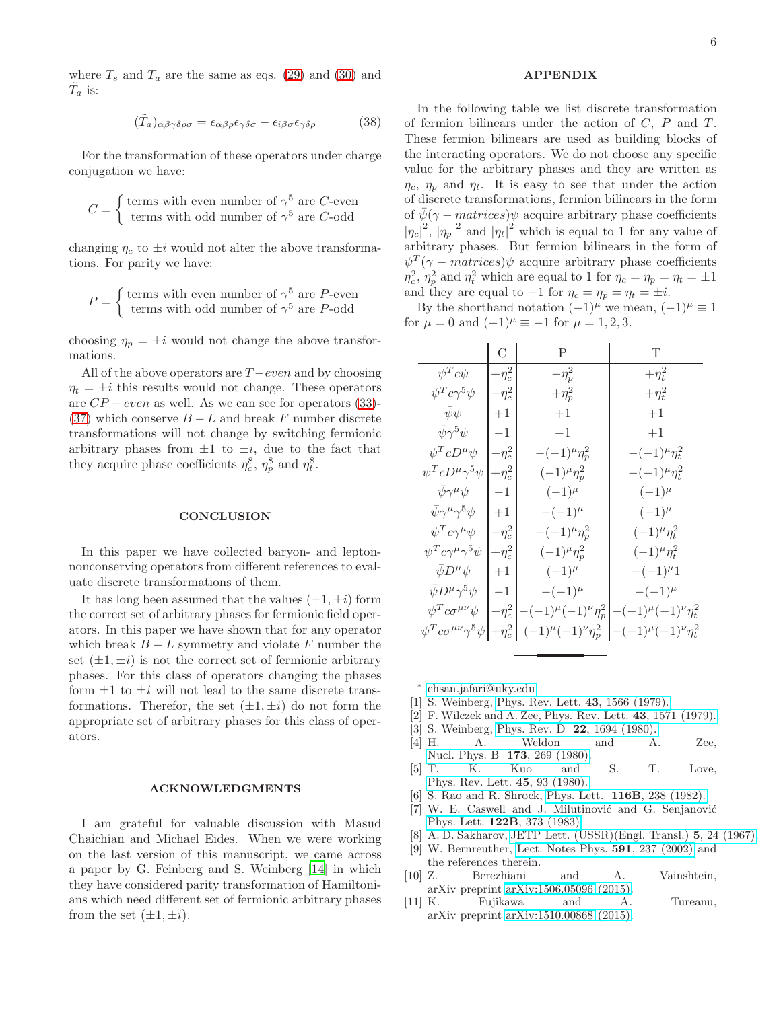where  $T_s$  and  $T_a$  are the same as eqs. [\(29\)](#page-4-4) and [\(30\)](#page-4-5) and  $\tilde{T}_a$  is:

$$
(\tilde{T}_a)_{\alpha\beta\gamma\delta\rho\sigma} = \epsilon_{\alpha\beta\rho}\epsilon_{\gamma\delta\sigma} - \epsilon_{i\beta\sigma}\epsilon_{\gamma\delta\rho} \tag{38}
$$

For the transformation of these operators under charge conjugation we have:

$$
C = \begin{cases} \text{terms with even number of } \gamma^5 \text{ are } C \text{-even} \\ \text{terms with odd number of } \gamma^5 \text{ are } C \text{-odd} \end{cases}
$$

changing  $\eta_c$  to  $\pm i$  would not alter the above transformations. For parity we have:

$$
P = \begin{cases} \text{terms with even number of } \gamma^5 \text{ are } P\text{-even} \\ \text{terms with odd number of } \gamma^5 \text{ are } P\text{-odd} \end{cases}
$$

choosing  $\eta_p = \pm i$  would not change the above transformations.

All of the above operators are  $T$  –even and by choosing  $\eta_t = \pm i$  this results would not change. These operators are  $CP - even$  as well. As we can see for operators [\(33\)](#page-4-6)-[\(37\)](#page-4-7) which conserve  $B - L$  and break F number discrete transformations will not change by switching fermionic arbitrary phases from  $\pm 1$  to  $\pm i$ , due to the fact that they acquire phase coefficients  $\eta_c^8$ ,  $\eta_p^8$  and  $\eta_t^8$ .

#### **CONCLUSION**

In this paper we have collected baryon- and leptonnonconserving operators from different references to evaluate discrete transformations of them.

It has long been assumed that the values  $(\pm 1, \pm i)$  form the correct set of arbitrary phases for fermionic field operators. In this paper we have shown that for any operator which break  $B - L$  symmetry and violate F number the set  $(\pm 1, \pm i)$  is not the correct set of fermionic arbitrary phases. For this class of operators changing the phases form  $\pm 1$  to  $\pm i$  will not lead to the same discrete transformations. Therefor, the set  $(\pm 1, \pm i)$  do not form the appropriate set of arbitrary phases for this class of operators.

#### ACKNOWLEDGMENTS

I am grateful for valuable discussion with Masud Chaichian and Michael Eides. When we were working on the last version of this manuscript, we came across a paper by G. Feinberg and S. Weinberg [\[14](#page-6-2)] in which they have considered parity transformation of Hamiltonians which need different set of fermionic arbitrary phases from the set  $(\pm 1, \pm i)$ .

## APPENDIX

In the following table we list discrete transformation of fermion bilinears under the action of  $C$ ,  $P$  and  $T$ . These fermion bilinears are used as building blocks of the interacting operators. We do not choose any specific value for the arbitrary phases and they are written as  $\eta_c$ ,  $\eta_p$  and  $\eta_t$ . It is easy to see that under the action of discrete transformations, fermion bilinears in the form of  $\bar{\psi}(\gamma - matrices)\psi$  acquire arbitrary phase coefficients  $|\eta_c|^2$ ,  $|\eta_p|^2$  and  $|\eta_t|^2$  which is equal to 1 for any value of arbitrary phases. But fermion bilinears in the form of  $\psi^T(\gamma - matrices)\psi$  acquire arbitrary phase coefficients  $\eta_c^2$ ,  $\eta_p^2$  and  $\eta_t^2$  which are equal to 1 for  $\eta_c = \eta_p = \eta_t = \pm 1$ and they are equal to  $-1$  for  $\eta_c = \eta_p = \eta_t = \pm i$ .

By the shorthand notation  $(-1)^{\mu}$  we mean,  $(-1)^{\mu} \equiv 1$ for  $\mu = 0$  and  $(-1)^{\mu} \equiv -1$  for  $\mu = 1, 2, 3$ .

|                                                       | $\overline{C}$ | P                                                                                  | Т                                                                                     |
|-------------------------------------------------------|----------------|------------------------------------------------------------------------------------|---------------------------------------------------------------------------------------|
| $\psi^T c \psi$                                       | $+\eta_c^2$    | $-\eta_p^2$                                                                        | $+\eta_t^2$                                                                           |
| $\psi^T c \gamma^5 \psi$                              | $-\eta_c^2$    | $+\eta_p^2$                                                                        | $+\eta_t^2$                                                                           |
| $\bar{\psi}\psi$                                      | $+1$           | $+1$                                                                               | $+1$                                                                                  |
| $\bar{\psi}\gamma^5\psi$                              | $-1$           | $-1$                                                                               | $+1$                                                                                  |
| $\psi^T c D^{\mu} \psi$                               | $-\eta_c^2$    | $-(-1)^{\mu}\eta_{p}^{2}$                                                          | $-(-1)^{\mu} \eta_t^2$                                                                |
| $\psi^T c D^\mu \gamma^5 \psi$                        | $+\eta_c^2$    | $(-1)^{\mu} \eta_{p}^{2}$                                                          | $-(-1)^{\mu}\eta_t^2$                                                                 |
| $\bar{\psi}\gamma^{\mu}\psi$                          | $-1$           | $(-1)^{\mu}$                                                                       | $(-1)^{\mu}$                                                                          |
| $\bar{\psi}\gamma^{\mu}\gamma^5\psi$                  | $+1$           | $-(-1)^{\mu}$                                                                      | $(-1)^{\mu}$                                                                          |
| $\psi^T c \gamma^\mu \psi$                            | $-\eta_c^2$    | $-(-1)^{\mu}\eta_{p}^{2}$                                                          | $(-1)^{\mu} \eta_t^2$                                                                 |
| $\psi^T c \gamma^\mu \gamma^5 \psi$                   | $+\eta_c^2$    | $(-1)^{\mu} \eta_{p}^{2}$                                                          | $(-1)^{\mu} \eta_t^2$                                                                 |
| $\bar{\psi}D^{\mu}\psi$                               | $+1$           | $(-1)^{\mu}$                                                                       | $-(-1)^{\mu}1$                                                                        |
| $\bar{\psi}D^{\mu}\gamma^5\psi$                       | $^{-1}$        | $-(-1)^{\mu}$                                                                      | $-(-1)^{\mu}$                                                                         |
| $\psi^T c \sigma^{\mu\nu} \psi$                       | $-\eta_c^2$    | $-(-1)^{\mu}(-1)^{\nu}\eta_{p}^{2}\left  -(-1)^{\mu}(-1)^{\nu}\eta_{t}^{2}\right $ |                                                                                       |
| $\psi^T c \sigma^{\mu\nu} \gamma^5 \psi$ $+ \eta_c^2$ |                |                                                                                    | $(-1)^{\mu}(-1)^{\nu}\eta_{p}^{2}$ $\left  -(-1)^{\mu}(-1)^{\nu}\eta_{t}^{2} \right $ |

∗ [ehsan.jafari@uky.edu](mailto:ehsan.jafari@uky.edu)

- <span id="page-5-1"></span><span id="page-5-0"></span>[1] S. Weinberg, [Phys. Rev. Lett.](http://journals.aps.org/prl/abstract/10.1103/PhysRevLett.43.1566) 43, 1566 (1979).
- <span id="page-5-2"></span>[2] F. Wilczek and A. Zee, [Phys. Rev. Lett.](http://journals.aps.org/prl/abstract/10.1103/PhysRevLett.43.1571) 43, 1571 (1979).
- <span id="page-5-3"></span>[3] S. Weinberg, Phys. Rev. D 22[, 1694 \(1980\).](http://journals.aps.org/prd/abstract/10.1103/PhysRevD.22.1694)
- <span id="page-5-4"></span>[4] H. A. Weldon and A. Zee, [Nucl. Phys. B](http://www.sciencedirect.com/science/article/pii/0550321380902187) 173, 269 (1980).
- <span id="page-5-5"></span>[5] T. K. Kuo and S. T. Love, [Phys. Rev. Lett.](http://journals.aps.org/prl/abstract/10.1103/PhysRevLett.45.93) 45, 93 (1980).
- <span id="page-5-11"></span>[6] S. Rao and R. Shrock, Phys. Lett. 116B[, 238 \(1982\).](http://www.sciencedirect.com/science/article/pii/0370269382903331)
- <span id="page-5-6"></span>[7] W. E. Caswell and J. Milutinović and G. Senjanović Phys. Lett. 122B[, 373 \(1983\).](http://www.sciencedirect.com/science/article/pii/037026938391585X)
- <span id="page-5-7"></span>[8] A. D. Sakharov, [JETP Lett. \(USSR\)\(Engl. Transl.\)](http://mr.crossref.org/iPage?doi=10.1070%2FPU1991v034n05ABEH002497) 5, 24 (1967).
- <span id="page-5-8"></span>[9] W. Bernreuther, [Lect. Notes Phys.](http://link.springer.com/chapter/10.1007/3-540-47895-7_7) 591, 237 (2002) and the references therein.<br>Z. Berezhiani
- <span id="page-5-9"></span>[10] Z. Berezhiani and A. Vainshtein, arXiv preprint [arXiv:1506.05096 \(2015\).](http://arxiv.org/abs/1506.05096)
- <span id="page-5-10"></span>[11] K. Fujikawa and A. Tureanu, arXiv preprint [arXiv:1510.00868 \(2015\).](http://arxiv.org/abs/1510.00868)